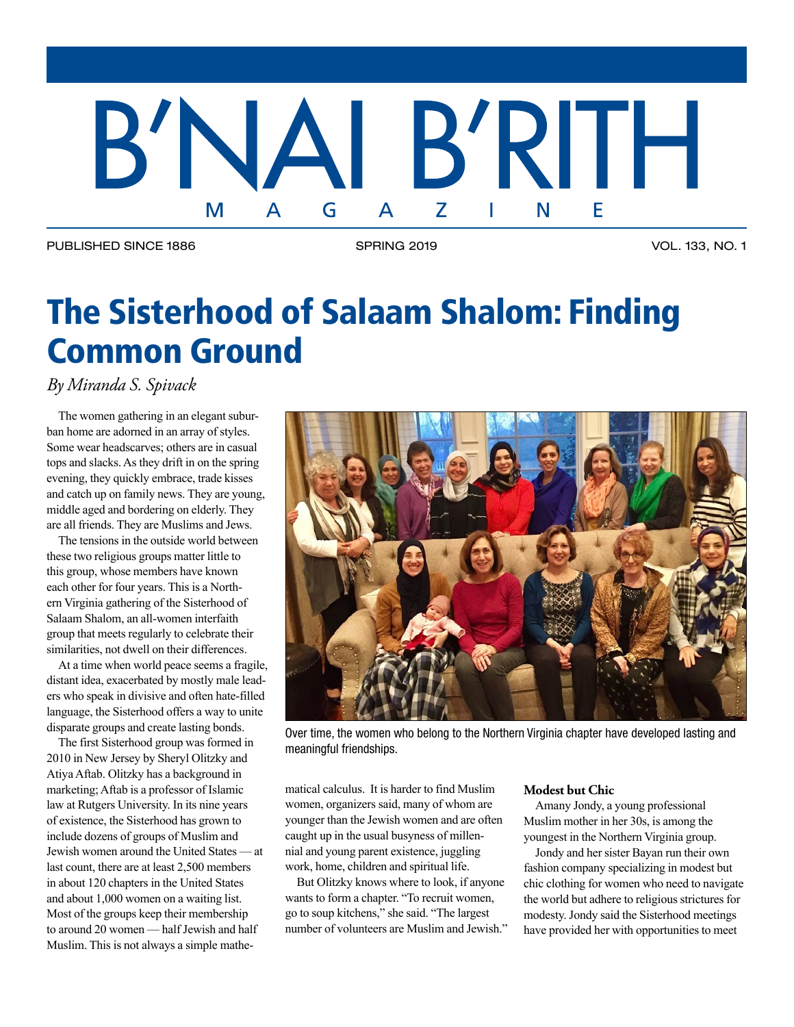## B'RITH B'NA G  $\overline{\mathsf{A}}$ Z F M

PUBLISHED SINCE 1886 SPRING 2019 SPRING 2019 VOL. 133, NO. 1

# The Sisterhood of Salaam Shalom: Finding Common Ground

*By Miranda S. Spivack*

The women gathering in an elegant suburban home are adorned in an array of styles. Some wear headscarves; others are in casual tops and slacks. As they drift in on the spring evening, they quickly embrace, trade kisses and catch up on family news. They are young, middle aged and bordering on elderly. They are all friends. They are Muslims and Jews.

The tensions in the outside world between these two religious groups matter little to this group, whose members have known each other for four years. This is a Northern Virginia gathering of the Sisterhood of Salaam Shalom, an all-women interfaith group that meets regularly to celebrate their similarities, not dwell on their differences.

At a time when world peace seems a fragile, distant idea, exacerbated by mostly male leaders who speak in divisive and often hate-filled language, the Sisterhood offers a way to unite disparate groups and create lasting bonds.

The first Sisterhood group was formed in 2010 in New Jersey by Sheryl Olitzky and Atiya Aftab. Olitzky has a background in marketing; Aftab is a professor of Islamic law at Rutgers University. In its nine years of existence, the Sisterhood has grown to include dozens of groups of Muslim and Jewish women around the United States — at last count, there are at least 2,500 members in about 120 chapters in the United States and about 1,000 women on a waiting list. Most of the groups keep their membership to around 20 women — half Jewish and half Muslim. This is not always a simple mathe-



Over time, the women who belong to the Northern Virginia chapter have developed lasting and meaningful friendships.

matical calculus. It is harder to find Muslim women, organizers said, many of whom are younger than the Jewish women and are often caught up in the usual busyness of millennial and young parent existence, juggling work, home, children and spiritual life.

But Olitzky knows where to look, if anyone wants to form a chapter. "To recruit women, go to soup kitchens," she said. "The largest number of volunteers are Muslim and Jewish."

## **Modest but Chic**

Amany Jondy, a young professional Muslim mother in her 30s, is among the youngest in the Northern Virginia group.

Jondy and her sister Bayan run their own fashion company specializing in modest but chic clothing for women who need to navigate the world but adhere to religious strictures for modesty. Jondy said the Sisterhood meetings have provided her with opportunities to meet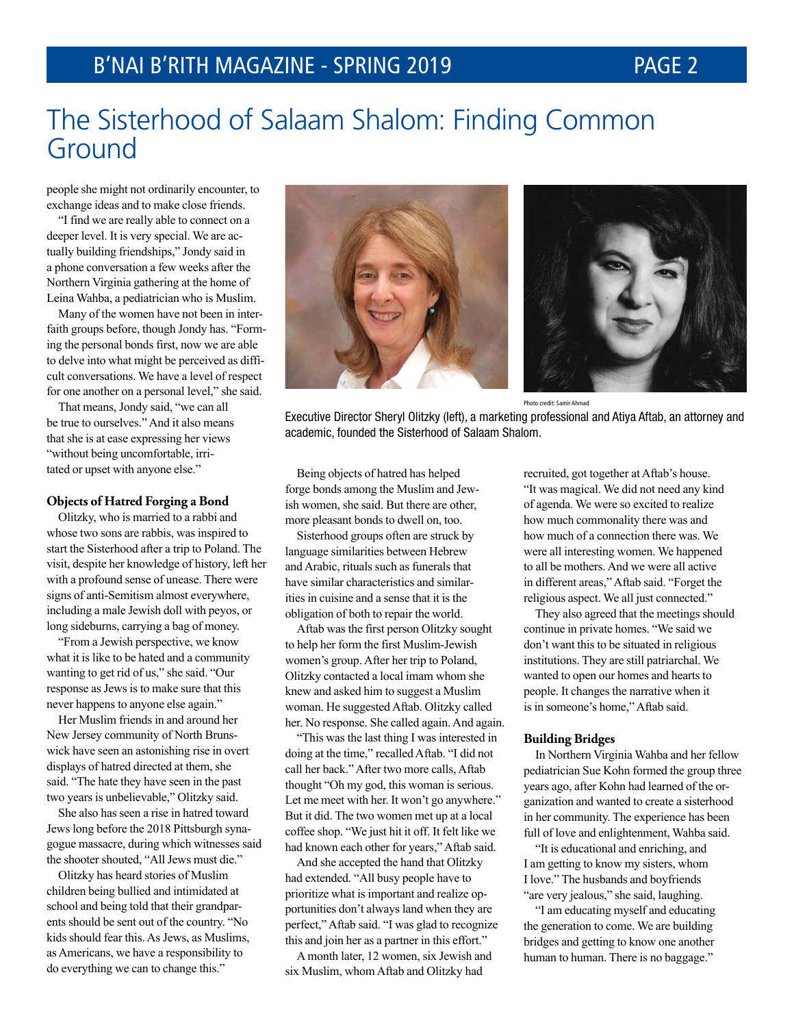## The Sisterhood of Salaam Shalom: Finding Common Ground

people she might not ordinarily encounter, to exchange ideas and to make close friends.

"I find we are really able to connect on a deeper level. It is very special. We are actually building friendships," Jondy said in a phone conversation a few weeks after the Northern Virginia gathering at the home of Leina Wahba, a pediatrician who is Muslim.

Many of the women have not been in interfaith groups before, though Jondy has. "Forming the personal bonds first, now we are able to delve into what might be perceived as difficult conversations. We have a level of respect for one another on a personal level," she said.

That means, Jondy said, "we can all be true to ourselves." And it also means that she is at ease expressing her views "without being uncomfortable, irritated or upset with anyone else."

#### **Objects of Hatred Forging a Bond**

Olitzky, who is married to a rabbi and whose two sons are rabbis, was inspired to start the Sisterhood after a trip to Poland. The visit, despite her knowledge of history, left her with a profound sense of unease. There were signs of anti-Semitism almost everywhere, including a male Jewish doll with peyos, or long sideburns, carrying a bag of money.

"From a Jewish perspective, we know what it is like to be hated and a community wanting to get rid of us," she said. "Our response as Jews is to make sure that this never happens to anyone else again."

Her Muslim friends in and around her New Jersey community of North Brunswick have seen an astonishing rise in overt displays of hatred directed at them, she said. "The hate they have seen in the past two years is unbelievable," Olitzky said.

She also has seen a rise in hatred toward Jews long before the 2018 Pittsburgh synagogue massacre, during which witnesses said the shooter shouted, "All Jews must die."

Olitzky has heard stories of Muslim children being bullied and intimidated at school and being told that their grandparents should be sent out of the country. "No kids should fear this. As Jews, as Muslims, as Americans, we have a responsibility to do everything we can to change this."





Photo credit: Samir Ahmad

Executive Director Sheryl Olitzky (left), a marketing professional and Atiya Aftab, an attorney and academic, founded the Sisterhood of Salaam Shalom.

Being objects of hatred has helped forge bonds among the Muslim and Jewish women, she said. But there are other, more pleasant bonds to dwell on, too.

Sisterhood groups often are struck by language similarities between Hebrew and Arabic, rituals such as funerals that have similar characteristics and similarities in cuisine and a sense that it is the obligation of both to repair the world.

Aftab was the first person Olitzky sought to help her form the first Muslim-Jewish women's group. After her trip to Poland, Olitzky contacted a local imam whom she knew and asked him to suggest a Muslim woman. He suggested Aftab. Olitzky called her. No response. She called again. And again.

"This was the last thing I was interested in doing at the time," recalled Aftab. "I did not call her back." After two more calls, Aftab thought "Oh my god, this woman is serious. Let me meet with her. It won't go anywhere." But it did. The two women met up at a local coffee shop. "We just hit it off. It felt like we had known each other for years," Aftab said.

And she accepted the hand that Olitzky had extended. "All busy people have to prioritize what is important and realize opportunities don't always land when they are perfect," Aftab said. "I was glad to recognize this and join her as a partner in this effort."

A month later, 12 women, six Jewish and six Muslim, whom Aftab and Olitzky had

recruited, got together at Aftab's house. "It was magical. We did not need any kind of agenda. We were so excited to realize how much commonality there was and how much of a connection there was. We were all interesting women. We happened to all be mothers. And we were all active in different areas," Aftab said. "Forget the religious aspect. We all just connected."

They also agreed that the meetings should continue in private homes. "We said we don't want this to be situated in religious institutions. They are still patriarchal. We wanted to open our homes and hearts to people. It changes the narrative when it is in someone's home," Aftab said.

#### **Building Bridges**

In Northern Virginia Wahba and her fellow pediatrician Sue Kohn formed the group three years ago, after Kohn had learned of the organization and wanted to create a sisterhood in her community. The experience has been full of love and enlightenment, Wahba said.

"It is educational and enriching, and I am getting to know my sisters, whom I love." The husbands and boyfriends "are very jealous," she said, laughing.

"I am educating myself and educating the generation to come. We are building bridges and getting to know one another human to human. There is no baggage."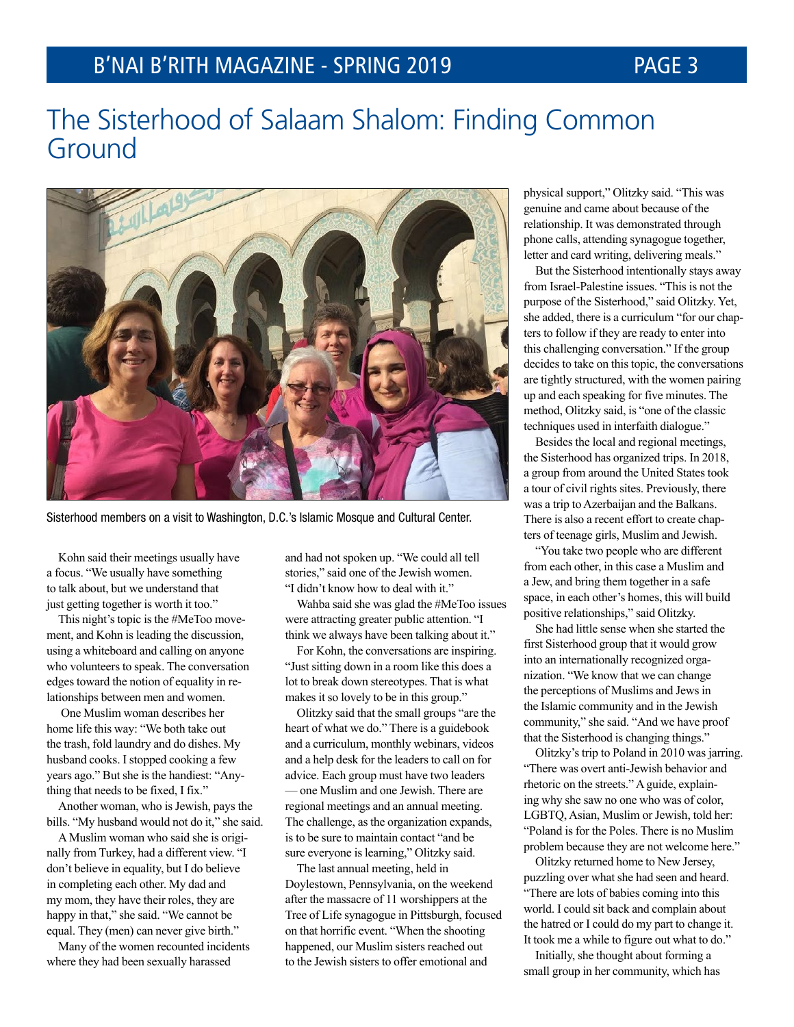## The Sisterhood of Salaam Shalom: Finding Common Ground



Sisterhood members on a visit to Washington, D.C.'s Islamic Mosque and Cultural Center.

Kohn said their meetings usually have a focus. "We usually have something to talk about, but we understand that just getting together is worth it too."

This night's topic is the #MeToo movement, and Kohn is leading the discussion, using a whiteboard and calling on anyone who volunteers to speak. The conversation edges toward the notion of equality in relationships between men and women.

One Muslim woman describes her home life this way: "We both take out the trash, fold laundry and do dishes. My husband cooks. I stopped cooking a few years ago." But she is the handiest: "Anything that needs to be fixed, I fix."

Another woman, who is Jewish, pays the bills. "My husband would not do it," she said.

A Muslim woman who said she is originally from Turkey, had a different view. "I don't believe in equality, but I do believe in completing each other. My dad and my mom, they have their roles, they are happy in that," she said. "We cannot be equal. They (men) can never give birth."

Many of the women recounted incidents where they had been sexually harassed

and had not spoken up. "We could all tell stories," said one of the Jewish women. "I didn't know how to deal with it."

Wahba said she was glad the #MeToo issues were attracting greater public attention. "I think we always have been talking about it."

For Kohn, the conversations are inspiring. "Just sitting down in a room like this does a lot to break down stereotypes. That is what makes it so lovely to be in this group."

Olitzky said that the small groups "are the heart of what we do." There is a guidebook and a curriculum, monthly webinars, videos and a help desk for the leaders to call on for advice. Each group must have two leaders — one Muslim and one Jewish. There are regional meetings and an annual meeting. The challenge, as the organization expands, is to be sure to maintain contact "and be sure everyone is learning," Olitzky said.

The last annual meeting, held in Doylestown, Pennsylvania, on the weekend after the massacre of 11 worshippers at the Tree of Life synagogue in Pittsburgh, focused on that horrific event. "When the shooting happened, our Muslim sisters reached out to the Jewish sisters to offer emotional and

physical support," Olitzky said. "This was genuine and came about because of the relationship. It was demonstrated through phone calls, attending synagogue together, letter and card writing, delivering meals."

But the Sisterhood intentionally stays away from Israel-Palestine issues. "This is not the purpose of the Sisterhood," said Olitzky. Yet, she added, there is a curriculum "for our chapters to follow if they are ready to enter into this challenging conversation." If the group decides to take on this topic, the conversations are tightly structured, with the women pairing up and each speaking for five minutes. The method, Olitzky said, is "one of the classic techniques used in interfaith dialogue."

Besides the local and regional meetings, the Sisterhood has organized trips. In 2018, a group from around the United States took a tour of civil rights sites. Previously, there was a trip to Azerbaijan and the Balkans. There is also a recent effort to create chapters of teenage girls, Muslim and Jewish.

"You take two people who are different from each other, in this case a Muslim and a Jew, and bring them together in a safe space, in each other's homes, this will build positive relationships," said Olitzky.

She had little sense when she started the first Sisterhood group that it would grow into an internationally recognized organization. "We know that we can change the perceptions of Muslims and Jews in the Islamic community and in the Jewish community," she said. "And we have proof that the Sisterhood is changing things."

Olitzky's trip to Poland in 2010 was jarring. "There was overt anti-Jewish behavior and rhetoric on the streets." A guide, explaining why she saw no one who was of color, LGBTQ, Asian, Muslim or Jewish, told her: "Poland is for the Poles. There is no Muslim problem because they are not welcome here."

Olitzky returned home to New Jersey, puzzling over what she had seen and heard. "There are lots of babies coming into this world. I could sit back and complain about the hatred or I could do my part to change it. It took me a while to figure out what to do."

Initially, she thought about forming a small group in her community, which has